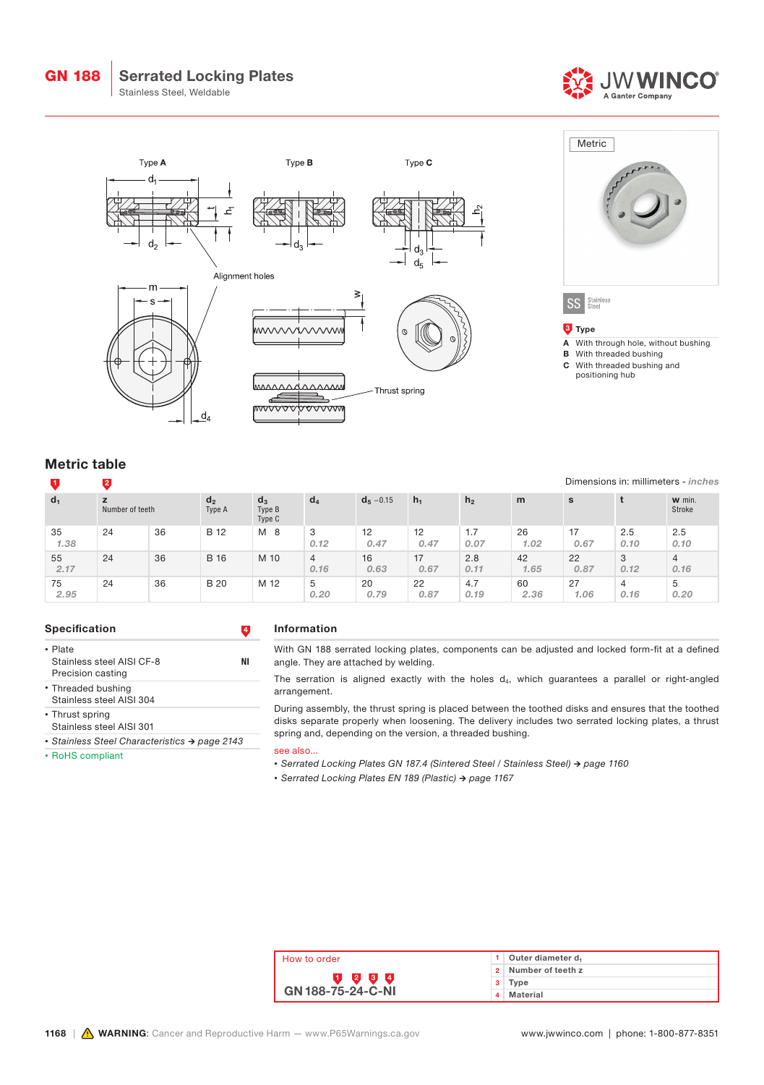## Serrated Locking Plates

Stainless Steel, Weldable







1 2

# Dimensions in: millimeters - inches

A With through hole, without bushing

**B** With threaded bushing C With threaded bushing and positioning hub

Stainless<br>Steel  $SS$ 

**3** Type

**Metric** 

| $d_1$      | z<br>Number of teeth |    | d <sub>2</sub><br>Type A | $d_3$<br>Type B<br>Type C | $d_4$                  | $d_5 - 0.15$ | $h_1$      | h <sub>2</sub> | m          | s           |             | w min.<br>Stroke       |
|------------|----------------------|----|--------------------------|---------------------------|------------------------|--------------|------------|----------------|------------|-------------|-------------|------------------------|
| 35<br>1.38 | 24                   | 36 | <b>B</b> 12              | M<br>- 8                  | 3<br>0.12              | 12<br>0.47   | 12<br>0.47 | 1.7<br>0.07    | 26<br>1.02 | -17<br>0.67 | 2.5<br>0.10 | 2.5<br>0.10            |
| 55<br>2.17 | 24                   | 36 | <b>B</b> 16              | M 10                      | $\overline{4}$<br>0.16 | 16<br>0.63   | 17<br>0.67 | 2.8<br>0.11    | 42<br>1.65 | 22<br>0.87  | 3<br>0.12   | $\overline{4}$<br>0.16 |
| 75<br>2.95 | 24                   | 36 | <b>B</b> 20              | M 12                      | 5<br>0.20              | 20<br>0.79   | 22<br>0.87 | 4.7<br>0.19    | 60<br>2.36 | 27<br>1.06  | 4<br>0.16   | 5<br>0.20              |

#### Specification **4**

- Plate Stainless steel AISI CF-8 NI Precision casting
- Threaded bushing
- Stainless steel AISI 304

• Thrust spring

Stainless steel AISI 301 *• Stainless Steel Characteristics → page 2143*

• RoHS compliant

### Information

With GN 188 serrated locking plates, components can be adjusted and locked form-fit at a defined angle. They are attached by welding.

The serration is aligned exactly with the holes  $d_4$ , which guarantees a parallel or right-angled arrangement.

During assembly, the thrust spring is placed between the toothed disks and ensures that the toothed disks separate properly when loosening. The delivery includes two serrated locking plates, a thrust spring and, depending on the version, a threaded bushing.

see also...

*• Serrated Locking Plates GN 187.4 (Sintered Steel / Stainless Steel) → page 1160*

*• Serrated Locking Plates EN 189 (Plastic) → page 1167*

| How to order             |  | Outer diameter d  |  |  |
|--------------------------|--|-------------------|--|--|
|                          |  | Number of teeth z |  |  |
| 2 3 4                    |  | Tvpe              |  |  |
| <b>GN 188-75-24-C-NI</b> |  | Material          |  |  |